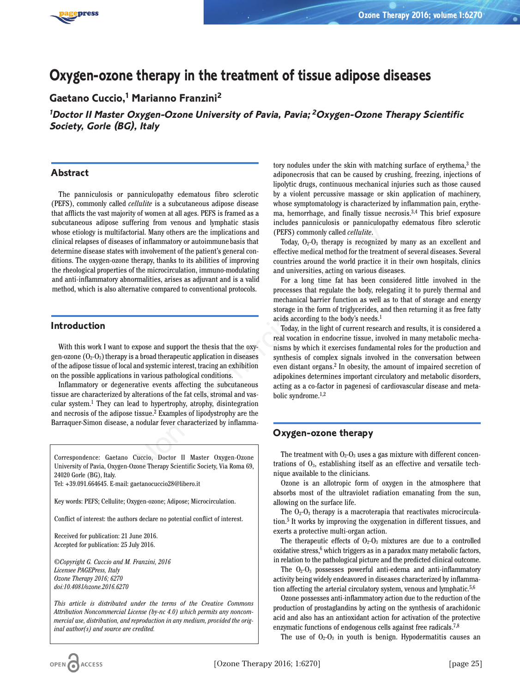

# **Oxygen-ozone therapy in the treatment of tissue adipose diseases**

**Gaetano Cuccio,1 Marianno Franzini2**

**<sup>1</sup>Doctor II Master Oxygen-Ozone University of Pavia, Pavia; <sup>2</sup>Oxygen-Ozone Therapy Scientific Society, Gorle (BG), Italy**

### **Abstract**

The panniculosis or panniculopathy edematous fibro sclerotic (PEFS), commonly called *cellulite* is a subcutaneous adipose disease that afflicts the vast majority of women at all ages. PEFS is framed as a subcutaneous adipose suffering from venous and lymphatic stasis whose etiology is multifactorial. Many others are the implications and clinical relapses of diseases of inflammatory or autoimmune basis that determine disease states with involvement of the patient's general conditions. The oxygen-ozone therapy, thanks to its abilities of improving the rheological properties of the microcirculation, immuno-modulating and anti-inflammatory abnormalities, arises as adjuvant and is a valid method, which is also alternative compared to conventional protocols. Analy others are the implications and (PEFS) commonly called *eellutitie*.<br>
Trail. Many others are the implications and (PEFS) commonly called *eellutitie*.<br>
Today, O<sub>r</sub>-O<sub>3</sub> therapy is recognized<br>
in involvement of the p

#### **Introduction**

With this work I want to expose and support the thesis that the oxygen-ozone  $(O_2-O_3)$  therapy is a broad therapeutic application in diseases of the adipose tissue of local and systemic interest, tracing an exhibition on the possible applications in various pathological conditions.

Inflammatory or degenerative events affecting the subcutaneous tissue are characterized by alterations of the fat cells, stromal and vascular system.1 They can lead to hypertrophy, atrophy, disintegration and necrosis of the adipose tissue.2 Examples of lipodystrophy are the Barraquer-Simon disease, a nodular fever characterized by inflamma-

Correspondence: Gaetano Cuccio, Doctor II Master Oxygen-Ozone University of Pavia, Oxygen-Ozone Therapy Scientific Society, Via Roma 69, 24020 Gorle (BG), Italy.

Tel: +39.091.664645. E-mail: gaetanocuccio28@libero.it

Key words: PEFS; Cellulite; Oxygen-ozone; Adipose; Microcirculation.

Conflict of interest: the authors declare no potential conflict of interest.

Received for publication: 21 June 2016. Accepted for publication: 25 July 2016.

*©Copyright G. Cuccio and M. Franzini, 2016 Licensee PAGEPress, Italy Ozone Therapy 2016; 6270 doi:10.4081/ozone.2016.6270*

*This article is distributed under the terms of the Creative Commons Attribution Noncommercial License (by-nc 4.0) which permits any noncommercial use, distribution, and reproduction in any medium, provided the original author(s) and source are credited.*

tory nodules under the skin with matching surface of erythema,<sup>3</sup> the adiponecrosis that can be caused by crushing, freezing, injections of lipolytic drugs, continuous mechanical injuries such as those caused by a violent percussive massage or skin application of machinery, whose symptomatology is characterized by inflammation pain, erythema, hemorrhage, and finally tissue necrosis.3,4 This brief exposure includes panniculosis or panniculopathy edematous fibro sclerotic (PEFS) commonly called *cellulite*.

Today,  $O_2-O_3$  therapy is recognized by many as an excellent and effective medical method for the treatment of several diseases. Several countries around the world practice it in their own hospitals, clinics and universities, acting on various diseases.

For a long time fat has been considered little involved in the processes that regulate the body, relegating it to purely thermal and mechanical barrier function as well as to that of storage and energy storage in the form of triglycerides, and then returning it as free fatty acids according to the body's needs.1

Today, in the light of current research and results, it is considered a real vocation in endocrine tissue, involved in many metabolic mechanisms by which it exercises fundamental roles for the production and synthesis of complex signals involved in the conversation between even distant organs.2 In obesity, the amount of impaired secretion of adipokines determines important circulatory and metabolic disorders, acting as a co-factor in pagenesi of cardiovascular disease and metabolic syndrome.1,2

# **Oxygen-ozone therapy**

The treatment with  $O_2-O_3$  uses a gas mixture with different concentrations of  $O<sub>3</sub>$ , establishing itself as an effective and versatile technique available to the clinicians.

Ozone is an allotropic form of oxygen in the atmosphere that absorbs most of the ultraviolet radiation emanating from the sun, allowing on the surface life.

The  $O_2-O_3$  therapy is a macroterapia that reactivates microcirculation.5 It works by improving the oxygenation in different tissues, and exerts a protective multi-organ action.

The therapeutic effects of  $O_2-O_3$  mixtures are due to a controlled oxidative stress,<sup>6</sup> which triggers as in a paradox many metabolic factors, in relation to the pathological picture and the predicted clinical outcome.

The  $O_2-O_3$  possesses powerful anti-edema and anti-inflammatory activity being widely endeavored in diseases characterized by inflammation affecting the arterial circulatory system, venous and lymphatic.<sup>5,6</sup>

Ozone possesses anti-inflammatory action due to the reduction of the production of prostaglandins by acting on the synthesis of arachidonic acid and also has an antioxidant action for activation of the protective enzymatic functions of endogenous cells against free radicals.<sup>7,8</sup>

The use of  $O_2-O_3$  in youth is benign. Hypodermatitis causes an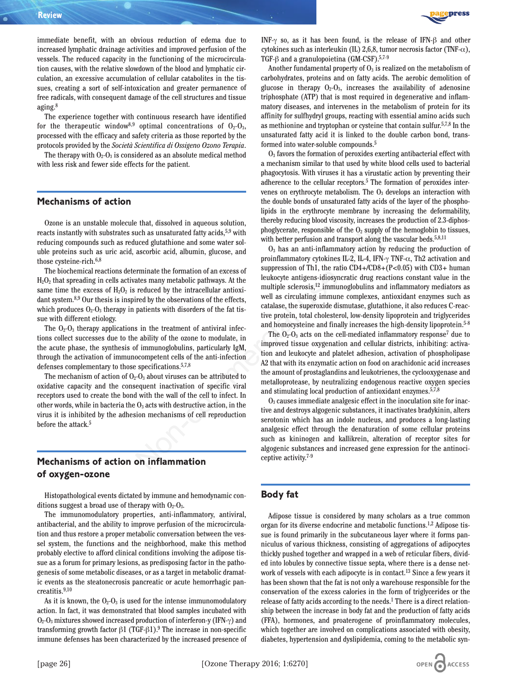immediate benefit, with an obvious reduction of edema due to increased lymphatic drainage activities and improved perfusion of the vessels. The reduced capacity in the functioning of the microcirculation causes, with the relative slowdown of the blood and lymphatic circulation, an excessive accumulation of cellular catabolites in the tissues, creating a sort of self-intoxication and greater permanence of free radicals, with consequent damage of the cell structures and tissue aging.8

The experience together with continuous research have identified for the therapeutic window<sup>8,9</sup> optimal concentrations of  $O_2-O_3$ , processed with the efficacy and safety criteria as those reported by the protocols provided by the *Società Scientifica di Ossigeno Ozono Terapia*.

The therapy with  $O_2-O_3$  is considered as an absolute medical method with less risk and fewer side effects for the patient.

#### **Mechanisms of action**

Ozone is an unstable molecule that, dissolved in aqueous solution, reacts instantly with substrates such as unsaturated fatty acids,<sup>5,9</sup> with reducing compounds such as reduced glutathione and some water soluble proteins such as uric acid, ascorbic acid, albumin, glucose, and those cysteine-rich.<sup>6,8</sup>

The biochemical reactions determinate the formation of an excess of  $H_2O_2$  that spreading in cells activates many metabolic pathways. At the same time the excess of  $H_2O_2$  is reduced by the intracellular antioxidant system.8,9 Our thesis is inspired by the observations of the effects, which produces  $O_2-O_3$  therapy in patients with disorders of the fat tissue with different etiology.

The  $O_2-O_3$  therapy applications in the treatment of antiviral infections collect successes due to the ability of the ozone to modulate, in the acute phase, the synthesis of immunoglobulins, particularly IgM, through the activation of immunocompetent cells of the anti-infection defenses complementary to those specifications.5,7,8

The mechanism of action of  $O_2-O_3$  about viruses can be attributed to oxidative capacity and the consequent inactivation of specific viral receptors used to create the bond with the wall of the cell to infect. In other words, while in bacteria the  $O_3$  acts with destructive action, in the virus it is inhibited by the adhesion mechanisms of cell reproduction before the attack.<sup>5</sup>

# **Mechanisms of action on inflammation of oxygen-ozone**

Histopathological events dictated by immune and hemodynamic conditions suggest a broad use of therapy with  $O_2-O_3$ .

The immunomodulatory properties, anti-inflammatory, antiviral, antibacterial, and the ability to improve perfusion of the microcirculation and thus restore a proper metabolic conversation between the vessel system, the functions and the neighborhood, make this method probably elective to afford clinical conditions involving the adipose tissue as a forum for primary lesions, as predisposing factor in the pathogenesis of some metabolic diseases, or as a target in metabolic dramatic events as the steatonecrosis pancreatic or acute hemorrhagic pancreatitis.9,10

As it is known, the  $O_2-O_3$  is used for the intense immunomodulatory action. In fact, it was demonstrated that blood samples incubated with  $O_2-O_3$  mixtures showed increased production of interferon-y (IFN- $\gamma$ ) and transforming growth factor β1 (TGF-β1).<sup>9</sup> The increase in non-specific immune defenses has been characterized by the increased presence of



INF-g so, as it has been found, is the release of IFN-β and other cytokines such as interleukin (IL) 2,6,8, tumor necrosis factor (TNF-α), TGF-β and a granulopoietina (GM-CSF).5,7-9

Another fundamental property of  $O<sub>3</sub>$  is realized on the metabolism of carbohydrates, proteins and on fatty acids. The aerobic demolition of glucose in therapy  $O_2-O_3$ , increases the availability of adenosine triphosphate (ATP) that is most required in degenerative and inflammatory diseases, and intervenes in the metabolism of protein for its affinity for sulfhydryl groups, reacting with essential amino acids such as methionine and tryptophan or cysteine that contain sulfur.5,7,8 In the unsaturated fatty acid it is linked to the double carbon bond, transformed into water-soluble compounds.5

 $O<sub>3</sub>$  favors the formation of peroxides exerting antibacterial effect with a mechanism similar to that used by white blood cells used to bacterial phagocytosis. With viruses it has a virustatic action by preventing their adherence to the cellular receptors.5 The formation of peroxides intervenes on erythrocyte metabolism. The  $O<sub>3</sub>$  develops an interaction with the double bonds of unsaturated fatty acids of the layer of the phospholipids in the erythrocyte membrane by increasing the deformability, thereby reducing blood viscosity, increases the production of 2.3-diphosphoglycerate, responsible of the  $O_2$  supply of the hemoglobin to tissues, with better perfusion and transport along the vascular beds.<sup>5,8,11</sup>

 $O<sub>3</sub>$  has an anti-inflammatory action by reducing the production of proinflammatory cytokines IL-2, IL-4, IFN- $\gamma$  TNF- $\alpha$ , Th2 activation and suppression of Th1, the ratio CD4+/CD8+(P<0.05) with CD3+ human leukocyte antigens-idiosyncratic drug reactions constant value in the multiple sclerosis,<sup>12</sup> immunoglobulins and inflammatory mediators as well as circulating immune complexes, antioxidant enzymes such as catalase, the superoxide dismutase, glutathione, it also reduces C-reactive protein, total cholesterol, low-density lipoprotein and triglycerides and homocysteine and finally increases the high-density lipoprotein.5-8 Let a substant and photomometric and the substant and the substant and the substant and the substant and the substantial data portion and the substantial data portion and the substantial portion and the substantial relati

The  $O_2-O_3$  acts on the cell-mediated inflammatory response<sup>7</sup> due to improved tissue oxygenation and cellular districts, inhibiting: activation and leukocyte and platelet adhesion, activation of phospholipase A2 that with its enzymatic action on food on arachidonic acid increases the amount of prostaglandins and leukotrienes, the cyclooxygenase and metalloprotease, by neutralizing endogenous reactive oxygen species and stimulating local production of antioxidant enzymes.5,7,8

 $O<sub>3</sub>$  causes immediate analgesic effect in the inoculation site for inactive and destroys algogenic substances, it inactivates bradykinin, alters serotonin which has an indole nucleus, and produces a long-lasting analgesic effect through the denaturation of some cellular proteins such as kininogen and kallikrein, alteration of receptor sites for algogenic substances and increased gene expression for the antinociceptive activity.7-9

#### **Body fat**

Adipose tissue is considered by many scholars as a true common organ for its diverse endocrine and metabolic functions.1,2 Adipose tissue is found primarily in the subcutaneous layer where it forms panniculus of various thickness, consisting of aggregations of adipocytes thickly pushed together and wrapped in a web of reticular fibers, divided into lobules by connective tissue septa, where there is a dense network of vessels with each adipocyte is in contact.13 Since a few years it has been shown that the fat is not only a warehouse responsible for the conservation of the excess calories in the form of triglycerides or the release of fatty acids according to the needs.<sup>1</sup> There is a direct relationship between the increase in body fat and the production of fatty acids (FFA), hormones, and proaterogene of proinflammatory molecules, which together are involved on complications associated with obesity, diabetes, hypertension and dyslipidemia, coming to the metabolic syn-

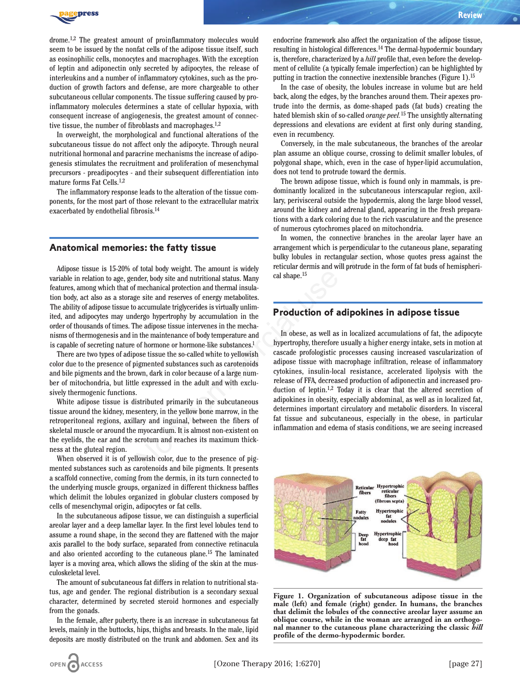

drome.1,2 The greatest amount of proinflammatory molecules would seem to be issued by the nonfat cells of the adipose tissue itself, such as eosinophilic cells, monocytes and macrophages. With the exception of leptin and adiponectin only secreted by adipocytes, the release of interleukins and a number of inflammatory cytokines, such as the production of growth factors and defense, are more chargeable to other subcutaneous cellular components. The tissue suffering caused by proinflammatory molecules determines a state of cellular hypoxia, with consequent increase of angiogenesis, the greatest amount of connective tissue, the number of fibroblasts and macrophages.1,2

In overweight, the morphological and functional alterations of the subcutaneous tissue do not affect only the adipocyte. Through neural nutritional hormonal and paracrine mechanisms the increase of adipogenesis stimulates the recruitment and proliferation of mesenchymal precursors - preadipocytes - and their subsequent differentiation into mature forms Fat Cells.1,2

The inflammatory response leads to the alteration of the tissue components, for the most part of those relevant to the extracellular matrix exacerbated by endothelial fibrosis.14

#### **Anatomical memories: the fatty tissue**

Adipose tissue is 15-20% of total body weight. The amount is widely variable in relation to age, gender, body site and nutritional status. Many features, among which that of mechanical protection and thermal insulation body, act also as a storage site and reserves of energy metabolites. The ability of adipose tissue to accumulate triglycerides is virtually unlimited, and adipocytes may undergo hypertrophy by accumulation in the order of thousands of times. The adipose tissue intervenes in the mechanisms of thermogenesis and in the maintenance of body temperature and is capable of secreting nature of hormone or hormone-like substances.1

There are two types of adipose tissue the so-called white to yellowish color due to the presence of pigmented substances such as carotenoids and bile pigments and the brown, dark in color because of a large number of mitochondria, but little expressed in the adult and with exclusively thermogenic functions.

White adipose tissue is distributed primarily in the subcutaneous tissue around the kidney, mesentery, in the yellow bone marrow, in the retroperitoneal regions, axillary and inguinal, between the fibers of skeletal muscle or around the myocardium. It is almost non-existent on the eyelids, the ear and the scrotum and reaches its maximum thickness at the gluteal region.

When observed it is of yellowish color, due to the presence of pigmented substances such as carotenoids and bile pigments. It presents a scaffold connective, coming from the dermis, in its turn connected to the underlying muscle groups, organized in different thickness baffles which delimit the lobules organized in globular clusters composed by cells of mesenchymal origin, adipocytes or fat cells.

In the subcutaneous adipose tissue, we can distinguish a superficial areolar layer and a deep lamellar layer. In the first level lobules tend to assume a round shape, in the second they are flattened with the major axis parallel to the body surface, separated from connective retinacula and also oriented according to the cutaneous plane.15 The laminated layer is a moving area, which allows the sliding of the skin at the musculoskeletal level.

The amount of subcutaneous fat differs in relation to nutritional status, age and gender. The regional distribution is a secondary sexual character, determined by secreted steroid hormones and especially from the gonads.

In the female, after puberty, there is an increase in subcutaneous fat levels, mainly in the buttocks, hips, thighs and breasts. In the male, lipid deposits are mostly distributed on the trunk and abdomen. Sex and its

endocrine framework also affect the organization of the adipose tissue, resulting in histological differences.14 The dermal-hypodermic boundary is, therefore, characterized by a *hill* profile that, even before the development of cellulite (a typically female imperfection) can be highlighted by putting in traction the connective inextensible branches (Figure 1).15

In the case of obesity, the lobules increase in volume but are held back, along the edges, by the branches around them. Their apexes protrude into the dermis, as dome-shaped pads (fat buds) creating the hated blemish skin of so-called *orange peel.*<sup>15</sup> The unsightly alternating depressions and elevations are evident at first only during standing, even in recumbency.

Conversely, in the male subcutaneous, the branches of the areolar plan assume an oblique course, crossing to delimit smaller lobules, of polygonal shape, which, even in the case of hyper-lipid accumulation, does not tend to protrude toward the dermis.

The brown adipose tissue, which is found only in mammals, is predominantly localized in the subcutaneous interscapular region, axillary, perivisceral outside the hypodermis, along the large blood vessel, around the kidney and adrenal gland, appearing in the fresh preparations with a dark coloring due to the rich vasculature and the presence of numerous cytochromes placed on mitochondria.

In women, the connective branches in the areolar layer have an arrangement which is perpendicular to the cutaneous plane, separating bulky lobules in rectangular section, whose quotes press against the reticular dermis and will protrude in the form of fat buds of hemispherical shape.15

#### **Production of adipokines in adipose tissue**

In obese, as well as in localized accumulations of fat, the adipocyte hypertrophy, therefore usually a higher energy intake, sets in motion at cascade profologistic processes causing increased vascularization of adipose tissue with macrophage infiltration, release of inflammatory cytokines, insulin-local resistance, accelerated lipolysis with the release of FFA, decreased production of adiponectin and increased production of leptin.1,2 Today it is clear that the altered secretion of adipokines in obesity, especially abdominal, as well as in localized fat, determines important circulatory and metabolic disorders. In visceral fat tissue and subcutaneous, especially in the obese, in particular inflammation and edema of stasis conditions, we are seeing increased of numerous cytochromes placed on m<br>
In women, the connective branches are<br>
arrangement which is perpendicular to<br>
oulky lobules in rectangular section,<br>
oulky lobules in rectangular section, we<br>
in encangular terms and wi



**Figure 1. Organization of subcutaneous adipose tissue in the male (left) and female (right) gender. In humans, the branches that delimit the lobules of the connective areolar layer assume an oblique course, while in the woman are arranged in an orthogonal manner to the cutaneous plane characterizing the classic** *hill* **profile of the dermo-hypodermic border.**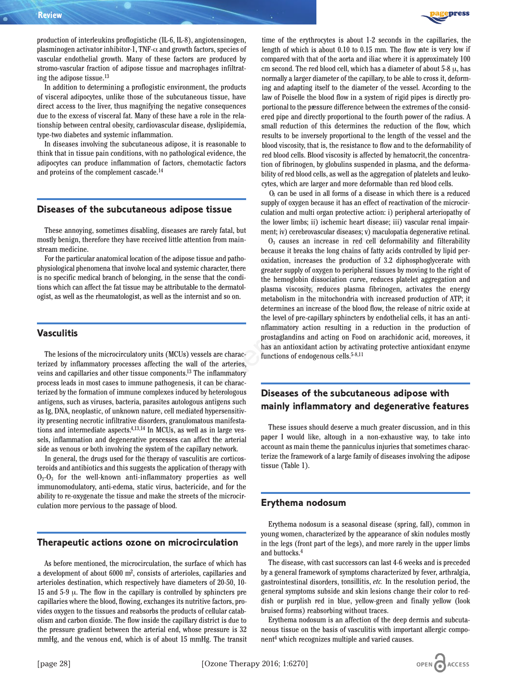press

production of interleukins proflogistiche (IL-6, IL-8), angiotensinogen, plasminogen activator inhibitor-1, TNF- $\alpha$  and growth factors, species of vascular endothelial growth. Many of these factors are produced by stromo-vascular fraction of adipose tissue and macrophages infiltrating the adipose tissue.<sup>13</sup>

In addition to determining a proflogistic environment, the products of visceral adipocytes, unlike those of the subcutaneous tissue, have direct access to the liver, thus magnifying the negative consequences due to the excess of visceral fat. Many of these have a role in the relationship between central obesity, cardiovascular disease, dyslipidemia, type-two diabetes and systemic inflammation.

In diseases involving the subcutaneous adipose, it is reasonable to think that in tissue pain conditions, with no pathological evidence, the adipocytes can produce inflammation of factors, chemotactic factors and proteins of the complement cascade.14

### **Diseases of the subcutaneous adipose tissue**

These annoying, sometimes disabling, diseases are rarely fatal, but mostly benign, therefore they have received little attention from mainstream medicine.

For the particular anatomical location of the adipose tissue and pathophysiological phenomena that involve local and systemic character, there is no specific medical branch of belonging, in the sense that the conditions which can affect the fat tissue may be attributable to the dermatologist, as well as the rheumatologist, as well as the internist and so on.

#### **Vasculitis**

The lesions of the microcirculatory units (MCUs) vessels are characterized by inflammatory processes affecting the wall of the arteries, veins and capillaries and other tissue components.13 The inflammatory process leads in most cases to immune pathogenesis, it can be characterized by the formation of immune complexes induced by heterologous antigens, such as viruses, bacteria, parasites autologous antigens such as Ig, DNA, neoplastic, of unknown nature, cell mediated hypersensitivity presenting necrotic infiltrative disorders, granulomatous manifestations and intermediate aspects.4,13,14 In MCUs, as well as in large vessels, inflammation and degenerative processes can affect the arterial side as venous or both involving the system of the capillary network.

In general, the drugs used for the therapy of vasculitis are corticosteroids and antibiotics and this suggests the application of therapy with  $O_2-O_3$  for the well-known anti-inflammatory properties as well immunomodulatory, anti-edema, static virus, bactericide, and for the ability to re-oxygenate the tissue and make the streets of the microcirculation more pervious to the passage of blood.

### **Therapeutic actions ozone on microcirculation**

As before mentioned, the microcirculation, the surface of which has a development of about 6000 m2, consists of arterioles, capillaries and arterioles destination, which respectively have diameters of 20-50, 10- 15 and 5-9 μ. The flow in the capillary is controlled by sphincters pre capillaries where the blood, flowing, exchanges its nutritive factors, provides oxygen to the tissues and reabsorbs the products of cellular catabolism and carbon dioxide. The flow inside the capillary district is due to the pressure gradient between the arterial end, whose pressure is 32 mmHg, and the venous end, which is of about 15 mmHg. The transit time of the erythrocytes is about 1-2 seconds in the capillaries, the length of which is about 0.10 to 0.15 mm. The flow rate is very low if compared with that of the aorta and iliac where it is approximately 100 cm second. The red blood cell, which has a diameter of about  $5-8 \mu$ , has normally a larger diameter of the capillary, to be able to cross it, deforming and adapting itself to the diameter of the vessel. According to the law of Poiselle the blood flow in a system of rigid pipes is directly proportional to the pressure difference between the extremes of the considered pipe and directly proportional to the fourth power of the radius. A small reduction of this determines the reduction of the flow, which results to be inversely proportional to the length of the vessel and the blood viscosity, that is, the resistance to flow and to the deformability of red blood cells. Blood viscosity is affected by hematocrit, the concentration of fibrinogen, by globulins suspended in plasma, and the deformability of red blood cells, as well as the aggregation of platelets and leukocytes, which are larger and more deformable than red blood cells.

 $O<sub>3</sub>$  can be used in all forms of a disease in which there is a reduced supply of oxygen because it has an effect of reactivation of the microcirculation and multi organ protective action: i) peripheral arteriopathy of the lower limbs; ii) ischemic heart disease; iii) vascular renal impairment; iv) cerebrovascular diseases; v) maculopatia degenerative retinal.

O3 causes an increase in red cell deformability and filterability because it breaks the long chains of fatty acids controlled by lipid peroxidation, increases the production of 3.2 diphosphoglycerate with greater supply of oxygen to peripheral tissues by moving to the right of the hemoglobin dissociation curve, reduces platelet aggregation and plasma viscosity, reduces plasma fibrinogen, activates the energy metabolism in the mitochondria with increased production of ATP; it determines an increase of the blood flow, the release of nitric oxide at the level of pre-capillary sphincters by endothelial cells, it has an antinflammatory action resulting in a reduction in the production of prostaglandins and acting on Food on arachidonic acid, moreoves, it has an antioxidant action by activating protective antioxidant enzyme functions of endogenous cells. $5-8,11$ Sabling, diseases are rarely fatal, but<br>
or excercived little attention from main<br>
obcauses an increase in red cell def<br>
cation of the adipose tissue and patho-<br>
occulation, increases the production of 3.<br>
bolve local and

# **Diseases of the subcutaneous adipose with mainly inflammatory and degenerative features**

These issues should deserve a much greater discussion, and in this paper I would like, altough in a non-exhaustive way, to take into account as main theme the panniculus injuries that sometimes characterize the framework of a large family of diseases involving the adipose tissue (Table 1).

### **Erythema nodosum**

Erythema nodosum is a seasonal disease (spring, fall), common in young women, characterized by the appearance of skin nodules mostly in the legs (front part of the legs), and more rarely in the upper limbs and buttocks.4

The disease, with cast successors can last 4-6 weeks and is preceded by a general framework of symptoms characterized by fever, arthralgia, gastrointestinal disorders, tonsillitis, *etc.* In the resolution period, the general symptoms subside and skin lesions change their color to reddish or purplish red in blue, yellow-green and finally yellow (look bruised forms) reabsorbing without traces.

Erythema nodosum is an affection of the deep dermis and subcutaneous tissue on the basis of vasculitis with important allergic component4 which recognizes multiple and varied causes.

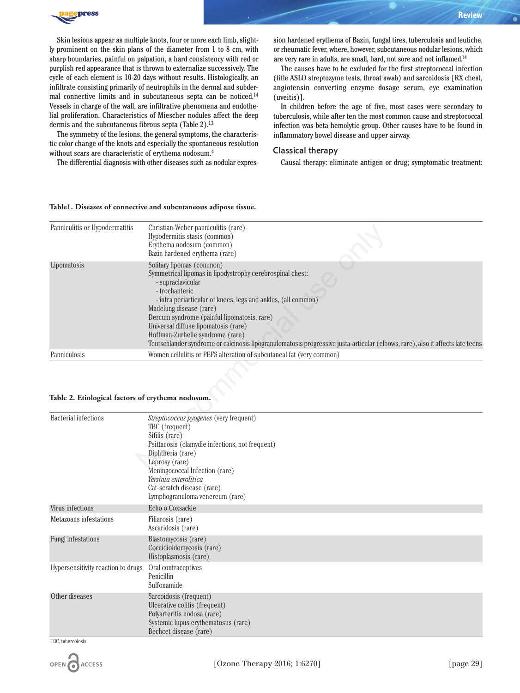

Skin lesions appear as multiple knots, four or more each limb, slightly prominent on the skin plans of the diameter from 1 to 8 cm, with sharp boundaries, painful on palpation, a hard consistency with red or purplish red appearance that is thrown to externalize successively. The cycle of each element is 10-20 days without results. Histologically, an infiltrate consisting primarily of neutrophils in the dermal and subdermal connective limits and in subcutaneous septa can be noticed.14 Vessels in charge of the wall, are infiltrative phenomena and endothelial proliferation. Characteristics of Miescher nodules affect the deep dermis and the subcutaneous fibrous septa (Table 2).<sup>13</sup>

The symmetry of the lesions, the general symptoms, the characteristic color change of the knots and especially the spontaneous resolution without scars are characteristic of erythema nodosum.4

The differential diagnosis with other diseases such as nodular expres-

sion hardened erythema of Bazin, fungal tires, tuberculosis and leutiche, or rheumatic fever, where, however, subcutaneous nodular lesions, which are very rare in adults, are small, hard, not sore and not inflamed.14

The causes have to be excluded for the first streptococcal infection (title ASLO streptozyme tests, throat swab) and sarcoidosis [RX chest, angiotensin converting enzyme dosage serum, eye examination (uveitis)].

In children before the age of five, most cases were secondary to tuberculosis, while after ten the most common cause and streptococcal infection was beta hemolytic group. Other causes have to be found in inflammatory bowel disease and upper airway.

#### Classical therapy

Causal therapy: eliminate antigen or drug; symptomatic treatment:

#### **Table1. Diseases of connective and subcutaneous adipose tissue.**

| Panniculitis or Hypodermatitis                    | Christian-Weber panniculitis (rare)<br>Hypodermitis stasis (common)<br>Erythema nodosum (common)                                                                   |
|---------------------------------------------------|--------------------------------------------------------------------------------------------------------------------------------------------------------------------|
|                                                   | Bazin hardened erythema (rare)                                                                                                                                     |
| Lipomatosis                                       | Solitary lipomas (common)<br>Symmetrical lipomas in lipodystrophy cerebrospinal chest:<br>- supraclavicular                                                        |
|                                                   | - trochanteric<br>- intra periarticular of knees, legs and ankles, (all common)                                                                                    |
|                                                   | Madelung disease (rare)<br>Dercum syndrome (painful lipomatosis, rare)<br>Universal diffuse lipomatosis (rare)                                                     |
|                                                   | Hoffman-Zurhelle syndrome (rare)<br>Teutschlander syndrome or calcinosis lipogranulomatosis progressive justa-articular (elbows, rare), also it affects late teens |
| Panniculosis                                      | Women cellulitis or PEFS alteration of subcutaneal fat (very common)                                                                                               |
| Table 2. Etiological factors of erythema nodosum. |                                                                                                                                                                    |
| Bacterial infections                              | Streptococcus pyogenes (very frequent)<br>TBC (frequent)                                                                                                           |
|                                                   | Sifilis (rare)<br>Psittacosis (clamydie infections, not frequent)<br>Diphtheria (rare)                                                                             |
|                                                   | Leprosy (rare)<br>Moningonogal Infortion (rara)                                                                                                                    |

#### **Table 2. Etiological factors of erythema nodosum.**

| Bacterial infections               | Streptococcus pyogenes (very frequent)<br>TBC (frequent)<br>Sifilis (rare)<br>Psittacosis (clamydie infections, not frequent)<br>Diphtheria (rare)<br>Leprosy (rare)<br>Meningococcal Infection (rare)<br>Yersinia enterolitica<br>Cat-scratch disease (rare)<br>Lymphogranuloma venereum (rare) |
|------------------------------------|--------------------------------------------------------------------------------------------------------------------------------------------------------------------------------------------------------------------------------------------------------------------------------------------------|
| Virus infections                   | Echo o Coxsackie                                                                                                                                                                                                                                                                                 |
| Metazoans infestations             | Filiarosis (rare)<br>Ascaridosis (rare)                                                                                                                                                                                                                                                          |
| Fungi infestations                 | Blastomycosis (rare)<br>Coccidioidomycosis (rare)<br>Histoplasmosis (rare)                                                                                                                                                                                                                       |
| Hypersensitivity reaction to drugs | Oral contraceptives<br>Penicillin<br>Sulfonamide                                                                                                                                                                                                                                                 |
| Other diseases                     | Sarcoidosis (frequent)<br>Ulcerative colitis (frequent)<br>Polyarteritis nodosa (rare)<br>Systemic lupus erythematosus (rare)<br>Bechcet disease (rare)                                                                                                                                          |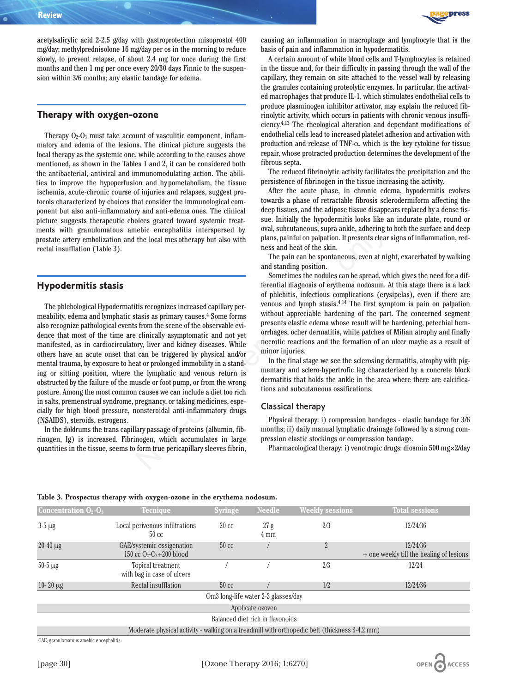

acetylsalicylic acid 2-2.5 g/day with gastroprotection misoprostol 400 mg/day; methylprednisolone 16 mg/day per os in the morning to reduce slowly, to prevent relapse, of about 2.4 mg for once during the first months and then 1 mg per once every 20/30 days Finnic to the suspension within 3/6 months; any elastic bandage for edema.

### **Therapy with oxygen-ozone**

Therapy  $O_2-O_3$  must take account of vasculitic component, inflammatory and edema of the lesions. The clinical picture suggests the local therapy as the systemic one, while according to the causes above mentioned, as shown in the Tables 1 and 2, it can be considered both the antibacterial, antiviral and immunomodulating action. The abilities to improve the hypoperfusion and hy pometabolism, the tissue ischemia, acute-chronic course of injuries and relapses, suggest protocols characterized by choices that consider the immunological component but also anti-inflammatory and anti-edema ones. The clinical picture suggests therapeutic choices geared toward systemic treatments with granulomatous amebic encephalitis interspersed by prostate artery embolization and the local mes otherapy but also with rectal insufflation (Table 3).

#### **Hypodermitis stasis**

The phlebological Hypodermatitis recognizes increased capillary permeability, edema and lymphatic stasis as primary causes.4 Some forms also recognize pathological events from the scene of the observable evidence that most of the time are clinically asymptomatic and not yet manifested, as in cardiocirculatory, liver and kidney diseases. While others have an acute onset that can be triggered by physical and/or mental trauma, by exposure to heat or prolonged immobility in a standing or sitting position, where the lymphatic and venous return is obstructed by the failure of the muscle or foot pump, or from the wrong posture. Among the most common causes we can include a diet too rich in salts, premenstrual syndrome, pregnancy, or taking medicines, especially for high blood pressure, nonsteroidal anti-inflammatory drugs (NSAIDS), steroids, estrogens. None the local measurement of the method in the presents charge only and the local measurement of the sin and small of presents charge the local measurement of the sin and small measurement of the sin and small properties

In the doldrums the trans capillary passage of proteins (albumin, fibrinogen, Ig) is increased. Fibrinogen, which accumulates in large quantities in the tissue, seems to form true pericapillary sleeves fibrin, causing an inflammation in macrophage and lymphocyte that is the basis of pain and inflammation in hypodermatitis.

A certain amount of white blood cells and T-lymphocytes is retained in the tissue and, for their difficulty in passing through the wall of the capillary, they remain on site attached to the vessel wall by releasing the granules containing proteolytic enzymes. In particular, the activated macrophages that produce IL-1, which stimulates endothelial cells to produce plasminogen inhibitor activator, may explain the reduced fibrinolytic activity, which occurs in patients with chronic venous insufficiency.4,13 The rheological alteration and dependant modifications of endothelial cells lead to increased platelet adhesion and activation with production and release of TNF- $\alpha$ , which is the key cytokine for tissue repair, whose protracted production determines the development of the fibrous septa.

The reduced fibrinolytic activity facilitates the precipitation and the persistence of fibrinogen in the tissue increasing the activity.

After the acute phase, in chronic edema, hypodermitis evolves towards a phase of retractable fibrosis sclerodermiform affecting the deep tissues, and the adipose tissue disappears replaced by a dense tissue. Initially the hypodermitis looks like an indurate plate, round or oval, subcutaneous, supra ankle, adhering to both the surface and deep plans, painful on palpation. It presents clear signs of inflammation, redness and heat of the skin.

The pain can be spontaneous, even at night, exacerbated by walking and standing position.

Sometimes the nodules can be spread, which gives the need for a differential diagnosis of erythema nodosum. At this stage there is a lack of phlebitis, infectious complications (erysipelas), even if there are venous and lymph stasis.4,14 The first symptom is pain on palpation without appreciable hardening of the part. The concerned segment presents elastic edema whose result will be hardening, petechial hemorrhages, ocher dermatitis, white patches of Milian atrophy and finally necrotic reactions and the formation of an ulcer maybe as a result of minor injuries.

In the final stage we see the sclerosing dermatitis, atrophy with pigmentary and sclero-hypertrofic leg characterized by a concrete block dermatitis that holds the ankle in the area where there are calcifications and subcutaneous ossifications.

#### Classical therapy

Physical therapy: i) compression bandages - elastic bandage for 3/6 months; ii) daily manual lymphatic drainage followed by a strong compression elastic stockings or compression bandage.

Pharmacological therapy: i) venotropic drugs: diosmin 500 mg×2/day

| <b>Concentration <math>O_2-O_3</math></b>                                                     | <b>Tecnique</b>                                         | <b>Syringe</b>  | <b>Needle</b>                                   | <b>Weekly sessions</b> | <b>Total sessions</b>                                |  |
|-----------------------------------------------------------------------------------------------|---------------------------------------------------------|-----------------|-------------------------------------------------|------------------------|------------------------------------------------------|--|
| $3-5 \mu g$                                                                                   | Local perivenous infiltrations<br>$50 \text{ cc}$       | $20 \text{ cc}$ | 27g<br>$4 \text{ mm}$                           | 2/3                    | 12/24/36                                             |  |
| $20-40 \mu g$                                                                                 | GAE/systemic ossigenation<br>150 cc $O_2-O_3+200$ blood | $50 \text{ cc}$ |                                                 | 2                      | 12/24/36<br>+ one weekly till the healing of lesions |  |
| $50-5 \mu g$                                                                                  | Topical treatment<br>with bag in case of ulcers         |                 |                                                 | 2/3                    | 12/24                                                |  |
| $10 - 20 \mu g$                                                                               | Rectal insufflation                                     | $50 \text{ cc}$ |                                                 | 1/2                    | 12/24/36                                             |  |
|                                                                                               |                                                         |                 | Om <sub>3</sub> long-life water 2-3 glasses/day |                        |                                                      |  |
| Applicate ozoven                                                                              |                                                         |                 |                                                 |                        |                                                      |  |
|                                                                                               |                                                         |                 | Balanced diet rich in flavonoids                |                        |                                                      |  |
| Moderate physical activity - walking on a treadmill with orthopedic belt (thickness 3-4.2 mm) |                                                         |                 |                                                 |                        |                                                      |  |

#### **Table 3. Prospectus therapy with oxygen-ozone in the erythema nodosum.**

GAE, granulomatous amebic encephalitis.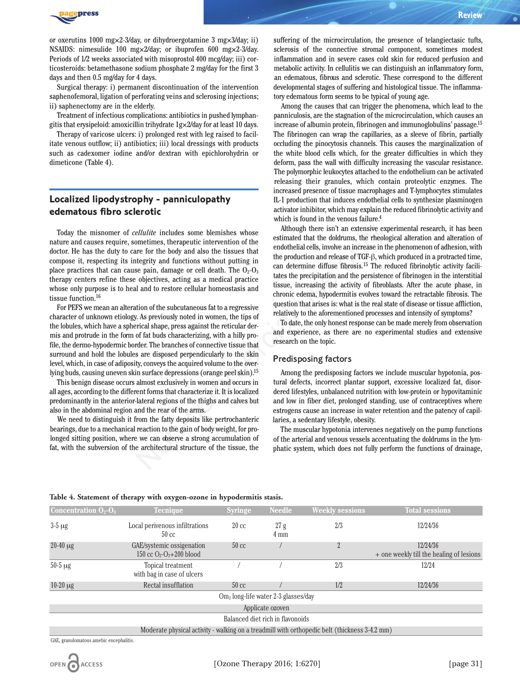

or oxerutins 1000 mg×2-3/day, or dihydroergotamine 3 mg×3/day; ii) NSAIDS: nimesulide 100 mg×2/day; or ibuprofen 600 mg×2-3/day. Periods of 1/2 weeks associated with misoprostol 400 mcg/day; iii) corticosteroids: betamethasone sodium phosphate 2 mg/day for the first 3 days and then 0.5 mg/day for 4 days.

Surgical therapy: i) permanent discontinuation of the intervention saphenofemoral, ligation of perforating veins and sclerosing injections; ii) saphenectomy are in the elderly.

Treatment of infectious complications: antibiotics in pushed lymphangitis that erysipeloid: amoxicillin trihydrate 1g×2/day for at least 10 days.

Therapy of varicose ulcers: i) prolonged rest with leg raised to facilitate venous outflow; ii) antibiotics; iii) local dressings with products such as cadexomer iodine and/or dextran with epichlorohydrin or dimeticone (Table 4).

# **Localized lipodystrophy - panniculopathy edematous fibro sclerotic**

Today the misnomer of *cellulite* includes some blemishes whose nature and causes require, sometimes, therapeutic intervention of the doctor. He has the duty to care for the body and also the tissues that compose it, respecting its integrity and functions without putting in place practices that can cause pain, damage or cell death. The  $O_2-O_3$ therapy centers refine these objectives, acting as a medical practice whose only purpose is to heal and to restore cellular homeostasis and tissue function.16

For PEFS we mean an alteration of the subcutaneous fat to a regressive character of unknown etiology. As previously noted in women, the tips of the lobules, which have a spherical shape, press against the reticular dermis and protrude in the form of fat buds characterizing, with a hilly profile, the dermo-hypodermic border. The branches of connective tissue that surround and hold the lobules are disposed perpendicularly to the skin level, which, in case of adiposity, conveys the acquired volume to the overlying buds, causing uneven skin surface depressions (orange peel skin).15

This benign disease occurs almost exclusively in women and occurs in all ages, according to the different forms that characterize it. It is localized predominantly in the anterior-lateral regions of the thighs and calves but also in the abdominal region and the rear of the arms.

We need to distinguish it from the fatty deposits like pertrochanteric bearings, due to a mechanical reaction to the gain of body weight, for prolonged sitting position, where we can observe a strong accumulation of fat, with the subversion of the architectural structure of the tissue, the suffering of the microcirculation, the presence of telangiectasic tufts, sclerosis of the connective stromal component, sometimes modest inflammation and in severe cases cold skin for reduced perfusion and metabolic activity. In cellulitis we can distinguish an inflammatory form, an edematous, fibrous and sclerotic. These correspond to the different developmental stages of suffering and histological tissue. The inflammatory edematous form seems to be typical of young age.

Among the causes that can trigger the phenomena, which lead to the panniculosis, are the stagnation of the microcirculation, which causes an increase of albumin protein, fibrinogen and immunoglobulins' passage.15 The fibrinogen can wrap the capillaries, as a sleeve of fibrin, partially occluding the pinocytosis channels. This causes the marginalization of the white blood cells which, for the greater difficulties in which they deform, pass the wall with difficulty increasing the vascular resistance. The polymorphic leukocytes attached to the endothelium can be activated releasing their granules, which contain proteolytic enzymes. The increased presence of tissue macrophages and T-lymphocytes stimulates IL-1 production that induces endothelial cells to synthesize plasminogen activator inhibitor, which may explain the reduced fibrinolytic activity and which is found in the venous failure.<sup>4</sup>

Although there isn't an extensive experimental research, it has been estimated that the doldrums, the rheological alteration and alteration of endothelial cells, involve an increase in the phenomenon of adhesion, with the production and release of TGF-β, which produced in a protracted time, can determine diffuse fibrosis.15 The reduced fibrinolytic activity facilitates the precipitation and the persistence of fibrinogen in the interstitial tissue, increasing the activity of fibroblasts. After the acute phase, in chronic edema, hypodermitis evolves toward the retractable fibrosis. The question that arises is: what is the real state of disease or tissue affliction, relatively to the aforementioned processes and intensity of symptoms? *ellulite* includes some blemishes whose<br> *ellulite* includes some blemishes whose<br>
elimated that the doldruns, the rehobed a<br>
erg of the body and sloot the sissues that<br>
endothelial cells, involve an increase in the erg

To date, the only honest response can be made merely from observation and experience, as there are no experimental studies and extensive research on the topic.

#### Predisposing factors

Among the predisposing factors we include muscular hypotonia, postural defects, incorrect plantar support, excessive localized fat, disordered lifestyles, unbalanced nutrition with low-protein or hypovitaminic and low in fiber diet, prolonged standing, use of contraceptives where estrogens cause an increase in water retention and the patency of capillaries, a sedentary lifestyle, obesity.

The muscular hypotonia intervenes negatively on the pump functions of the arterial and venous vessels accentuating the doldrums in the lymphatic system, which does not fully perform the functions of drainage,

| <b>Concentration <math>O_2-O_3</math></b>                                                     | <b>Tecnique</b>                                         | <b>Syringe</b>  | <b>Needle</b>         | <b>Weekly sessions</b> | <b>Total sessions</b>                                |  |
|-----------------------------------------------------------------------------------------------|---------------------------------------------------------|-----------------|-----------------------|------------------------|------------------------------------------------------|--|
| $3-5 \mu g$                                                                                   | Local perivenous infiltrations<br>$50 \text{ cc}$       | $20 \text{ cc}$ | 27g<br>$4 \text{ mm}$ | 2/3                    | 12/24/36                                             |  |
| $20-40 \mu g$                                                                                 | GAE/systemic ossigenation<br>150 cc $O_2-O_3+200$ blood | $50 \text{ cc}$ |                       | 2                      | 12/24/36<br>+ one weekly till the healing of lesions |  |
| $50-5 \mu g$                                                                                  | Topical treatment<br>with bag in case of ulcers         |                 |                       | 2/3                    | 12/24                                                |  |
| $10-20 \mu g$                                                                                 | Rectal insufflation                                     | $50 \text{ cc}$ |                       | 1/2                    | 12/24/36                                             |  |
| $\rm{Om}_3$ long-life water 2-3 glasses/day                                                   |                                                         |                 |                       |                        |                                                      |  |
| Applicate ozoven                                                                              |                                                         |                 |                       |                        |                                                      |  |
| Balanced diet rich in flavonoids                                                              |                                                         |                 |                       |                        |                                                      |  |
| Moderate physical activity - walking on a treadmill with orthopedic belt (thickness 3-4.2 mm) |                                                         |                 |                       |                        |                                                      |  |

#### **Table 4. Statement of therapy with oxygen-ozone in hypodermitis stasis.**

GAE, granulomatous amebic encephalitis.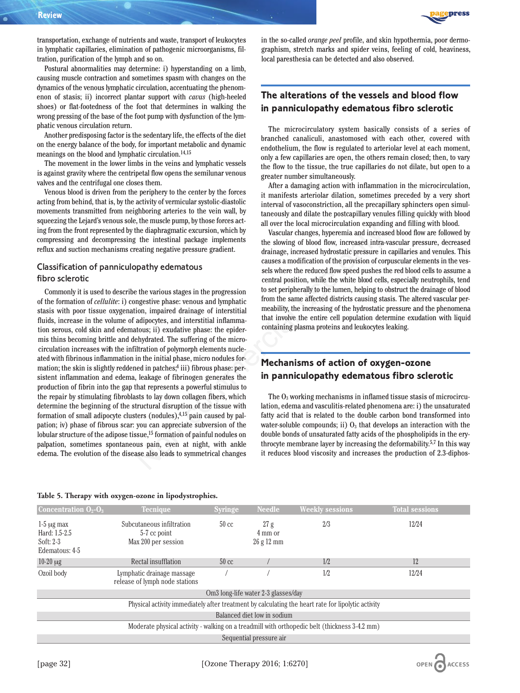

transportation, exchange of nutrients and waste, transport of leukocytes in lymphatic capillaries, elimination of pathogenic microorganisms, filtration, purification of the lymph and so on.

Postural abnormalities may determine: i) hyperstanding on a limb, causing muscle contraction and sometimes spasm with changes on the dynamics of the venous lymphatic circulation, accentuating the phenomenon of stasis; ii) incorrect plantar support with *cavus* (high-heeled shoes) or flat-footedness of the foot that determines in walking the wrong pressing of the base of the foot pump with dysfunction of the lymphatic venous circulation return.

Another predisposing factor is the sedentary life, the effects of the diet on the energy balance of the body, for important metabolic and dynamic meanings on the blood and lymphatic circulation.14,15

The movement in the lower limbs in the veins and lymphatic vessels is against gravity where the centripetal flow opens the semilunar venous valves and the centrifugal one closes them.

Venous blood is driven from the periphery to the center by the forces acting from behind, that is, by the activity of vermicular systolic-diastolic movements transmitted from neighboring arteries to the vein wall, by squeezing the Lejard's venous sole, the muscle pump, by those forces acting from the front represented by the diaphragmatic excursion, which by compressing and decompressing the intestinal package implements reflux and suction mechanisms creating negative pressure gradient.

### Classification of panniculopathy edematous fibro sclerotic

Commonly it is used to describe the various stages in the progression of the formation of *cellulite*: i) congestive phase: venous and lymphatic stasis with poor tissue oxygenation, impaired drainage of interstitial fluids, increase in the volume of adipocytes, and interstitial inflammation serous, cold skin and edematous; ii) exudative phase: the epidermis thins becoming brittle and dehydrated. The suffering of the microcirculation increases with the infiltration of polymorph elements nucleated with fibrinous inflammation in the initial phase, micro nodules formation; the skin is slightly reddened in patches;<sup>4</sup> iii) fibrous phase: persistent inflammation and edema, leakage of fibrinogen generates the production of fibrin into the gap that represents a powerful stimulus to the repair by stimulating fibroblasts to lay down collagen fibers, which determine the beginning of the structural disruption of the tissue with formation of small adipocyte clusters (nodules), $4,15$  pain caused by palpation; iv) phase of fibrous scar: you can appreciate subversion of the lobular structure of the adipose tissue,<sup>15</sup> formation of painful nodules on palpation, sometimes spontaneous pain, even at night, with ankle edema. The evolution of the disease also leads to symmetrical changes The diaphragmatic excursion, which by<br>
Wascular changes, hyperemia and increase<br>
the intestinal package implements<br>
the slowing of blood flow, increased intra-v<br>
eating negative pressure gradient.<br>
causes a modification o

#### **Table 5. Therapy with oxygen-ozone in lipodystrophies.**

in the so-called *orange peel* profile, and skin hypothermia, poor dermographism, stretch marks and spider veins, feeling of cold, heaviness, local paresthesia can be detected and also observed.

# **The alterations of the vessels and blood flow in panniculopathy edematous fibro sclerotic**

The microcirculatory system basically consists of a series of branched canaliculi, anastomosed with each other, covered with endothelium, the flow is regulated to arteriolar level at each moment, only a few capillaries are open, the others remain closed; then, to vary the flow to the tissue, the true capillaries do not dilate, but open to a greater number simultaneously.

After a damaging action with inflammation in the microcirculation, it manifests arteriolar dilation, sometimes preceded by a very short interval of vasoconstriction, all the precapillary sphincters open simultaneously and dilate the postcapillary venules filling quickly with blood all over the local microcirculation expanding and filling with blood.

Vascular changes, hyperemia and increased blood flow are followed by the slowing of blood flow, increased intra-vascular pressure, decreased drainage, increased hydrostatic pressure in capillaries and venules. This causes a modification of the provision of corpuscular elements in the vessels where the reduced flow speed pushes the red blood cells to assume a central position, while the white blood cells, especially neutrophils, tend to set peripherally to the lumen, helping to obstruct the drainage of blood from the same affected districts causing stasis. The altered vascular permeability, the increasing of the hydrostatic pressure and the phenomena that involve the entire cell population determine exudation with liquid containing plasma proteins and leukocytes leaking.

# **Mechanisms of action of oxygen-ozone in panniculopathy edematous fibro sclerotic**

The O3 working mechanisms in inflamed tissue stasis of microcirculation, edema and vasculitis-related phenomena are: i) the unsaturated fatty acid that is related to the double carbon bond transformed into water-soluble compounds; ii)  $O_3$  that develops an interaction with the double bonds of unsaturated fatty acids of the phospholipids in the erythrocyte membrane layer by increasing the deformability.5,7 In this way it reduces blood viscosity and increases the production of 2.3-diphos-

OPEN ACCESS

| <b>Concentration <math>O_2-O_3</math></b>                                                          | <b>Tecnique</b>                                                  | <b>Syringe</b>  | <b>Needle</b>                 | <b>Weekly sessions</b> | <b>Total sessions</b> |  |
|----------------------------------------------------------------------------------------------------|------------------------------------------------------------------|-----------------|-------------------------------|------------------------|-----------------------|--|
| $1-5 \mu g$ max<br>Hard: 1.5-2.5<br>Soft: $2-3$<br>Edematous: 4-5                                  | Subcutaneous infiltration<br>5-7 cc point<br>Max 200 per session | $50 \text{ cc}$ | 27 g<br>4 mm or<br>$26g12$ mm | 2/3                    | 12/24                 |  |
| $10-20 \mu g$                                                                                      | Rectal insufflation                                              | $50 \text{ cc}$ |                               | 1/2                    | 12                    |  |
| Ozoil body                                                                                         | Lymphatic drainage massage<br>release of lymph node stations     |                 |                               | 1/2                    | 12/24                 |  |
| Om <sub>3</sub> long-life water 2-3 glasses/day                                                    |                                                                  |                 |                               |                        |                       |  |
| Physical activity immediately after treatment by calculating the heart rate for lipolytic activity |                                                                  |                 |                               |                        |                       |  |
| Balanced diet low in sodium                                                                        |                                                                  |                 |                               |                        |                       |  |
| Moderate physical activity - walking on a treadmill with orthopedic belt (thickness 3-4.2 mm)      |                                                                  |                 |                               |                        |                       |  |
| Sequential pressure air                                                                            |                                                                  |                 |                               |                        |                       |  |
|                                                                                                    |                                                                  |                 |                               |                        |                       |  |